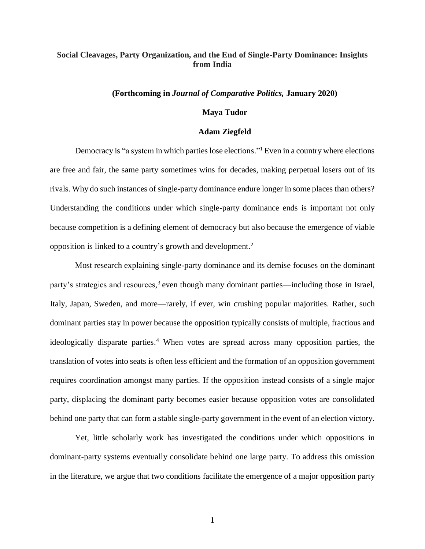# **Social Cleavages, Party Organization, and the End of Single-Party Dominance: Insights from India**

#### **(Forthcoming in** *Journal of Comparative Politics,* **January 2020)**

### **Maya Tudor**

#### **Adam Ziegfeld**

Democracy is "a system in which parties lose elections." <sup>1</sup> Even in a country where elections are free and fair, the same party sometimes wins for decades, making perpetual losers out of its rivals. Why do such instances of single-party dominance endure longer in some places than others? Understanding the conditions under which single-party dominance ends is important not only because competition is a defining element of democracy but also because the emergence of viable opposition is linked to a country's growth and development. 2

Most research explaining single-party dominance and its demise focuses on the dominant party's strategies and resources,<sup>3</sup> even though many dominant parties—including those in Israel, Italy, Japan, Sweden, and more—rarely, if ever, win crushing popular majorities. Rather, such dominant parties stay in power because the opposition typically consists of multiple, fractious and ideologically disparate parties. <sup>4</sup> When votes are spread across many opposition parties, the translation of votes into seats is often less efficient and the formation of an opposition government requires coordination amongst many parties. If the opposition instead consists of a single major party, displacing the dominant party becomes easier because opposition votes are consolidated behind one party that can form a stable single-party government in the event of an election victory.

Yet, little scholarly work has investigated the conditions under which oppositions in dominant-party systems eventually consolidate behind one large party. To address this omission in the literature, we argue that two conditions facilitate the emergence of a major opposition party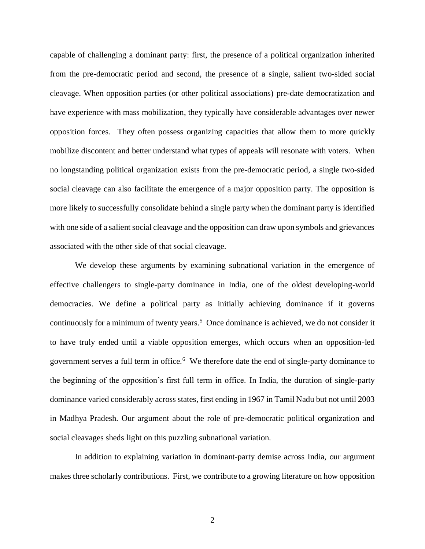capable of challenging a dominant party: first, the presence of a political organization inherited from the pre-democratic period and second, the presence of a single, salient two-sided social cleavage. When opposition parties (or other political associations) pre-date democratization and have experience with mass mobilization, they typically have considerable advantages over newer opposition forces. They often possess organizing capacities that allow them to more quickly mobilize discontent and better understand what types of appeals will resonate with voters. When no longstanding political organization exists from the pre-democratic period, a single two-sided social cleavage can also facilitate the emergence of a major opposition party. The opposition is more likely to successfully consolidate behind a single party when the dominant party is identified with one side of a salient social cleavage and the opposition can draw upon symbols and grievances associated with the other side of that social cleavage.

We develop these arguments by examining subnational variation in the emergence of effective challengers to single-party dominance in India, one of the oldest developing-world democracies. We define a political party as initially achieving dominance if it governs continuously for a minimum of twenty years.<sup>5</sup> Once dominance is achieved, we do not consider it to have truly ended until a viable opposition emerges, which occurs when an opposition-led government serves a full term in office.<sup>6</sup> We therefore date the end of single-party dominance to the beginning of the opposition's first full term in office. In India, the duration of single-party dominance varied considerably across states, first ending in 1967 in Tamil Nadu but not until 2003 in Madhya Pradesh. Our argument about the role of pre-democratic political organization and social cleavages sheds light on this puzzling subnational variation.

In addition to explaining variation in dominant-party demise across India, our argument makes three scholarly contributions. First, we contribute to a growing literature on how opposition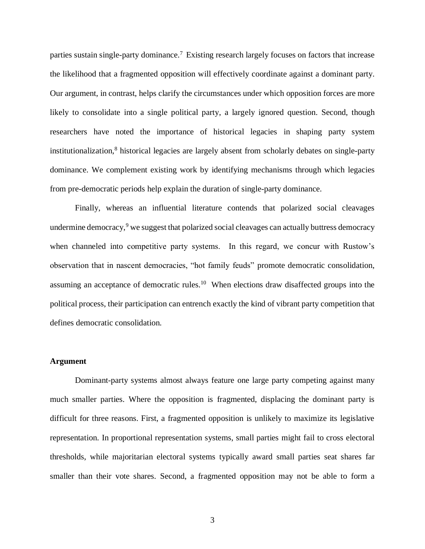parties sustain single-party dominance.<sup>7</sup> Existing research largely focuses on factors that increase the likelihood that a fragmented opposition will effectively coordinate against a dominant party. Our argument, in contrast, helps clarify the circumstances under which opposition forces are more likely to consolidate into a single political party, a largely ignored question. Second, though researchers have noted the importance of historical legacies in shaping party system institutionalization, <sup>8</sup> historical legacies are largely absent from scholarly debates on single-party dominance. We complement existing work by identifying mechanisms through which legacies from pre-democratic periods help explain the duration of single-party dominance.

Finally, whereas an influential literature contends that polarized social cleavages undermine democracy, $9$  we suggest that polarized social cleavages can actually buttress democracy when channeled into competitive party systems. In this regard, we concur with Rustow's observation that in nascent democracies, "hot family feuds" promote democratic consolidation, assuming an acceptance of democratic rules.<sup>10</sup> When elections draw disaffected groups into the political process, their participation can entrench exactly the kind of vibrant party competition that defines democratic consolidation.

## **Argument**

Dominant-party systems almost always feature one large party competing against many much smaller parties. Where the opposition is fragmented, displacing the dominant party is difficult for three reasons. First, a fragmented opposition is unlikely to maximize its legislative representation. In proportional representation systems, small parties might fail to cross electoral thresholds, while majoritarian electoral systems typically award small parties seat shares far smaller than their vote shares. Second, a fragmented opposition may not be able to form a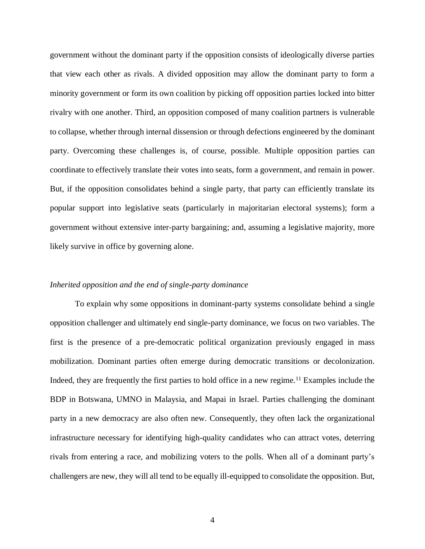government without the dominant party if the opposition consists of ideologically diverse parties that view each other as rivals. A divided opposition may allow the dominant party to form a minority government or form its own coalition by picking off opposition parties locked into bitter rivalry with one another. Third, an opposition composed of many coalition partners is vulnerable to collapse, whether through internal dissension or through defections engineered by the dominant party. Overcoming these challenges is, of course, possible. Multiple opposition parties can coordinate to effectively translate their votes into seats, form a government, and remain in power. But, if the opposition consolidates behind a single party, that party can efficiently translate its popular support into legislative seats (particularly in majoritarian electoral systems); form a government without extensive inter-party bargaining; and, assuming a legislative majority, more likely survive in office by governing alone.

#### *Inherited opposition and the end of single-party dominance*

To explain why some oppositions in dominant-party systems consolidate behind a single opposition challenger and ultimately end single-party dominance, we focus on two variables. The first is the presence of a pre-democratic political organization previously engaged in mass mobilization. Dominant parties often emerge during democratic transitions or decolonization. Indeed, they are frequently the first parties to hold office in a new regime.<sup>11</sup> Examples include the BDP in Botswana, UMNO in Malaysia, and Mapai in Israel. Parties challenging the dominant party in a new democracy are also often new. Consequently, they often lack the organizational infrastructure necessary for identifying high-quality candidates who can attract votes, deterring rivals from entering a race, and mobilizing voters to the polls. When all of a dominant party's challengers are new, they will all tend to be equally ill-equipped to consolidate the opposition. But,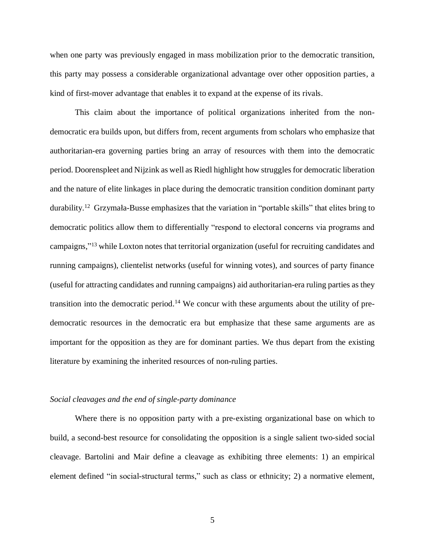when one party was previously engaged in mass mobilization prior to the democratic transition, this party may possess a considerable organizational advantage over other opposition parties, a kind of first-mover advantage that enables it to expand at the expense of its rivals.

This claim about the importance of political organizations inherited from the nondemocratic era builds upon, but differs from, recent arguments from scholars who emphasize that authoritarian-era governing parties bring an array of resources with them into the democratic period. Doorenspleet and Nijzink as well as Riedl highlight how struggles for democratic liberation and the nature of elite linkages in place during the democratic transition condition dominant party durability.<sup>12</sup> Grzymała-Busse emphasizes that the variation in "portable skills" that elites bring to democratic politics allow them to differentially "respond to electoral concerns via programs and campaigns,"<sup>13</sup> while Loxton notes that territorial organization (useful for recruiting candidates and running campaigns), clientelist networks (useful for winning votes), and sources of party finance (useful for attracting candidates and running campaigns) aid authoritarian-era ruling parties as they transition into the democratic period.<sup>14</sup> We concur with these arguments about the utility of predemocratic resources in the democratic era but emphasize that these same arguments are as important for the opposition as they are for dominant parties. We thus depart from the existing literature by examining the inherited resources of non-ruling parties.

### *Social cleavages and the end of single-party dominance*

Where there is no opposition party with a pre-existing organizational base on which to build, a second-best resource for consolidating the opposition is a single salient two-sided social cleavage. Bartolini and Mair define a cleavage as exhibiting three elements: 1) an empirical element defined "in social-structural terms," such as class or ethnicity; 2) a normative element,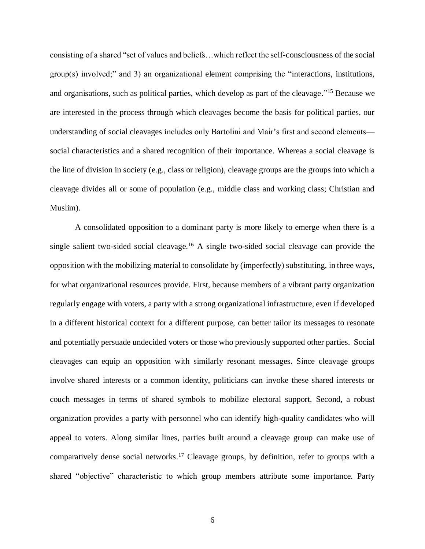consisting of a shared "set of values and beliefs…which reflect the self-consciousness of the social group(s) involved;" and 3) an organizational element comprising the "interactions, institutions, and organisations, such as political parties, which develop as part of the cleavage." <sup>15</sup> Because we are interested in the process through which cleavages become the basis for political parties, our understanding of social cleavages includes only Bartolini and Mair's first and second elements social characteristics and a shared recognition of their importance. Whereas a social cleavage is the line of division in society (e.g., class or religion), cleavage groups are the groups into which a cleavage divides all or some of population (e.g., middle class and working class; Christian and Muslim).

A consolidated opposition to a dominant party is more likely to emerge when there is a single salient two-sided social cleavage.<sup>16</sup> A single two-sided social cleavage can provide the opposition with the mobilizing material to consolidate by (imperfectly) substituting, in three ways, for what organizational resources provide. First, because members of a vibrant party organization regularly engage with voters, a party with a strong organizational infrastructure, even if developed in a different historical context for a different purpose, can better tailor its messages to resonate and potentially persuade undecided voters or those who previously supported other parties. Social cleavages can equip an opposition with similarly resonant messages. Since cleavage groups involve shared interests or a common identity, politicians can invoke these shared interests or couch messages in terms of shared symbols to mobilize electoral support. Second, a robust organization provides a party with personnel who can identify high-quality candidates who will appeal to voters. Along similar lines, parties built around a cleavage group can make use of comparatively dense social networks.<sup>17</sup> Cleavage groups, by definition, refer to groups with a shared "objective" characteristic to which group members attribute some importance. Party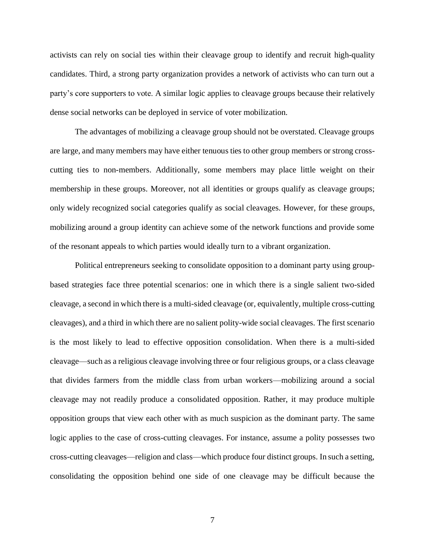activists can rely on social ties within their cleavage group to identify and recruit high-quality candidates. Third, a strong party organization provides a network of activists who can turn out a party's core supporters to vote. A similar logic applies to cleavage groups because their relatively dense social networks can be deployed in service of voter mobilization.

The advantages of mobilizing a cleavage group should not be overstated. Cleavage groups are large, and many members may have either tenuous ties to other group members or strong crosscutting ties to non-members. Additionally, some members may place little weight on their membership in these groups. Moreover, not all identities or groups qualify as cleavage groups; only widely recognized social categories qualify as social cleavages. However, for these groups, mobilizing around a group identity can achieve some of the network functions and provide some of the resonant appeals to which parties would ideally turn to a vibrant organization.

Political entrepreneurs seeking to consolidate opposition to a dominant party using groupbased strategies face three potential scenarios: one in which there is a single salient two-sided cleavage, a second in which there is a multi-sided cleavage (or, equivalently, multiple cross-cutting cleavages), and a third in which there are no salient polity-wide social cleavages. The first scenario is the most likely to lead to effective opposition consolidation. When there is a multi-sided cleavage—such as a religious cleavage involving three or four religious groups, or a class cleavage that divides farmers from the middle class from urban workers—mobilizing around a social cleavage may not readily produce a consolidated opposition. Rather, it may produce multiple opposition groups that view each other with as much suspicion as the dominant party. The same logic applies to the case of cross-cutting cleavages. For instance, assume a polity possesses two cross-cutting cleavages—religion and class—which produce four distinct groups. In such a setting, consolidating the opposition behind one side of one cleavage may be difficult because the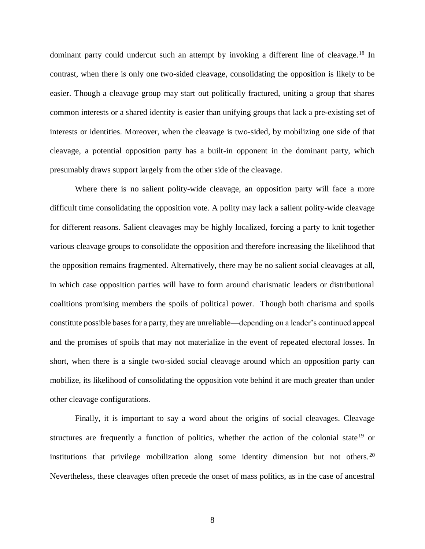dominant party could undercut such an attempt by invoking a different line of cleavage.<sup>18</sup> In contrast, when there is only one two-sided cleavage, consolidating the opposition is likely to be easier. Though a cleavage group may start out politically fractured, uniting a group that shares common interests or a shared identity is easier than unifying groups that lack a pre-existing set of interests or identities. Moreover, when the cleavage is two-sided, by mobilizing one side of that cleavage, a potential opposition party has a built-in opponent in the dominant party, which presumably draws support largely from the other side of the cleavage.

Where there is no salient polity-wide cleavage, an opposition party will face a more difficult time consolidating the opposition vote. A polity may lack a salient polity-wide cleavage for different reasons. Salient cleavages may be highly localized, forcing a party to knit together various cleavage groups to consolidate the opposition and therefore increasing the likelihood that the opposition remains fragmented. Alternatively, there may be no salient social cleavages at all, in which case opposition parties will have to form around charismatic leaders or distributional coalitions promising members the spoils of political power. Though both charisma and spoils constitute possible bases for a party, they are unreliable—depending on a leader's continued appeal and the promises of spoils that may not materialize in the event of repeated electoral losses. In short, when there is a single two-sided social cleavage around which an opposition party can mobilize, its likelihood of consolidating the opposition vote behind it are much greater than under other cleavage configurations.

Finally, it is important to say a word about the origins of social cleavages. Cleavage structures are frequently a function of politics, whether the action of the colonial state<sup>19</sup> or institutions that privilege mobilization along some identity dimension but not others.<sup>20</sup> Nevertheless, these cleavages often precede the onset of mass politics, as in the case of ancestral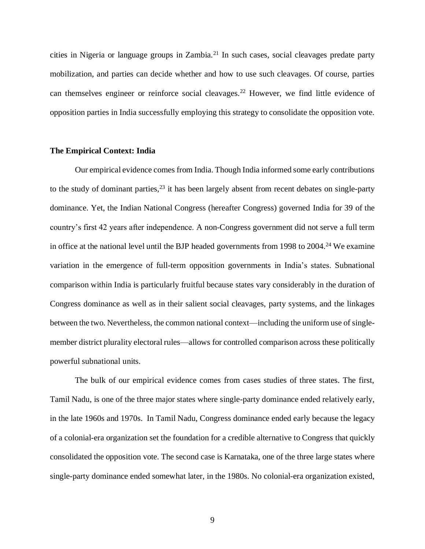cities in Nigeria or language groups in Zambia.<sup>21</sup> In such cases, social cleavages predate party mobilization, and parties can decide whether and how to use such cleavages. Of course, parties can themselves engineer or reinforce social cleavages.<sup>22</sup> However, we find little evidence of opposition parties in India successfully employing this strategy to consolidate the opposition vote.

### **The Empirical Context: India**

Our empirical evidence comes from India. Though India informed some early contributions to the study of dominant parties,  $2<sup>3</sup>$  it has been largely absent from recent debates on single-party dominance. Yet, the Indian National Congress (hereafter Congress) governed India for 39 of the country's first 42 years after independence. A non-Congress government did not serve a full term in office at the national level until the BJP headed governments from 1998 to 2004. <sup>24</sup> We examine variation in the emergence of full-term opposition governments in India's states. Subnational comparison within India is particularly fruitful because states vary considerably in the duration of Congress dominance as well as in their salient social cleavages, party systems, and the linkages between the two. Nevertheless, the common national context—including the uniform use of singlemember district plurality electoral rules—allows for controlled comparison across these politically powerful subnational units.

The bulk of our empirical evidence comes from cases studies of three states. The first, Tamil Nadu, is one of the three major states where single-party dominance ended relatively early, in the late 1960s and 1970s. In Tamil Nadu, Congress dominance ended early because the legacy of a colonial-era organization set the foundation for a credible alternative to Congress that quickly consolidated the opposition vote. The second case is Karnataka, one of the three large states where single-party dominance ended somewhat later, in the 1980s. No colonial-era organization existed,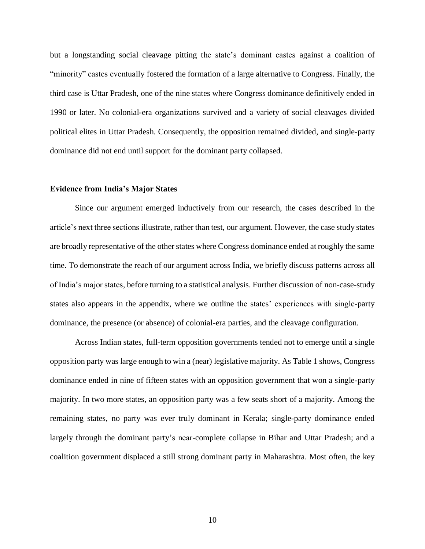but a longstanding social cleavage pitting the state's dominant castes against a coalition of "minority" castes eventually fostered the formation of a large alternative to Congress. Finally, the third case is Uttar Pradesh, one of the nine states where Congress dominance definitively ended in 1990 or later. No colonial-era organizations survived and a variety of social cleavages divided political elites in Uttar Pradesh. Consequently, the opposition remained divided, and single-party dominance did not end until support for the dominant party collapsed.

### **Evidence from India's Major States**

Since our argument emerged inductively from our research, the cases described in the article's next three sections illustrate, rather than test, our argument. However, the case study states are broadly representative of the other states where Congress dominance ended at roughly the same time. To demonstrate the reach of our argument across India, we briefly discuss patterns across all of India's major states, before turning to a statistical analysis. Further discussion of non-case-study states also appears in the appendix, where we outline the states' experiences with single-party dominance, the presence (or absence) of colonial-era parties, and the cleavage configuration.

Across Indian states, full-term opposition governments tended not to emerge until a single opposition party was large enough to win a (near) legislative majority. As Table 1 shows, Congress dominance ended in nine of fifteen states with an opposition government that won a single-party majority. In two more states, an opposition party was a few seats short of a majority. Among the remaining states, no party was ever truly dominant in Kerala; single-party dominance ended largely through the dominant party's near-complete collapse in Bihar and Uttar Pradesh; and a coalition government displaced a still strong dominant party in Maharashtra. Most often, the key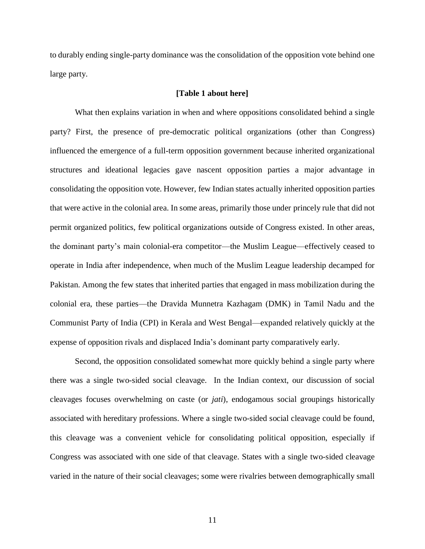to durably ending single-party dominance was the consolidation of the opposition vote behind one large party.

### **[Table 1 about here]**

What then explains variation in when and where oppositions consolidated behind a single party? First, the presence of pre-democratic political organizations (other than Congress) influenced the emergence of a full-term opposition government because inherited organizational structures and ideational legacies gave nascent opposition parties a major advantage in consolidating the opposition vote. However, few Indian states actually inherited opposition parties that were active in the colonial area. In some areas, primarily those under princely rule that did not permit organized politics, few political organizations outside of Congress existed. In other areas, the dominant party's main colonial-era competitor—the Muslim League—effectively ceased to operate in India after independence, when much of the Muslim League leadership decamped for Pakistan. Among the few states that inherited parties that engaged in mass mobilization during the colonial era, these parties—the Dravida Munnetra Kazhagam (DMK) in Tamil Nadu and the Communist Party of India (CPI) in Kerala and West Bengal—expanded relatively quickly at the expense of opposition rivals and displaced India's dominant party comparatively early.

Second, the opposition consolidated somewhat more quickly behind a single party where there was a single two-sided social cleavage. In the Indian context, our discussion of social cleavages focuses overwhelming on caste (or *jati*), endogamous social groupings historically associated with hereditary professions. Where a single two-sided social cleavage could be found, this cleavage was a convenient vehicle for consolidating political opposition, especially if Congress was associated with one side of that cleavage. States with a single two-sided cleavage varied in the nature of their social cleavages; some were rivalries between demographically small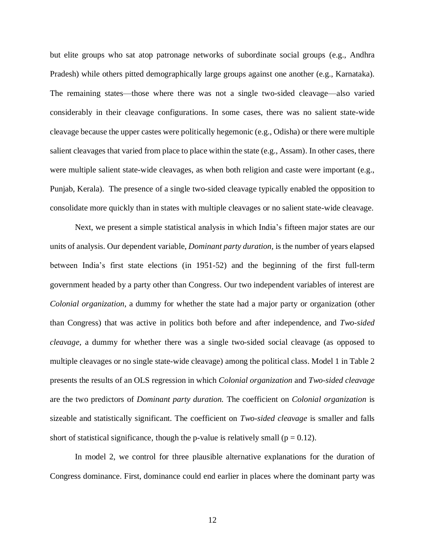but elite groups who sat atop patronage networks of subordinate social groups (e.g., Andhra Pradesh) while others pitted demographically large groups against one another (e.g., Karnataka). The remaining states—those where there was not a single two-sided cleavage—also varied considerably in their cleavage configurations. In some cases, there was no salient state-wide cleavage because the upper castes were politically hegemonic (e.g., Odisha) or there were multiple salient cleavages that varied from place to place within the state (e.g., Assam). In other cases, there were multiple salient state-wide cleavages, as when both religion and caste were important (e.g., Punjab, Kerala). The presence of a single two-sided cleavage typically enabled the opposition to consolidate more quickly than in states with multiple cleavages or no salient state-wide cleavage.

Next, we present a simple statistical analysis in which India's fifteen major states are our units of analysis. Our dependent variable, *Dominant party duration,* is the number of years elapsed between India's first state elections (in 1951-52) and the beginning of the first full-term government headed by a party other than Congress. Our two independent variables of interest are *Colonial organization*, a dummy for whether the state had a major party or organization (other than Congress) that was active in politics both before and after independence, and *Two-sided cleavage,* a dummy for whether there was a single two-sided social cleavage (as opposed to multiple cleavages or no single state-wide cleavage) among the political class. Model 1 in Table 2 presents the results of an OLS regression in which *Colonial organization* and *Two-sided cleavage*  are the two predictors of *Dominant party duration.* The coefficient on *Colonial organization* is sizeable and statistically significant. The coefficient on *Two-sided cleavage* is smaller and falls short of statistical significance, though the p-value is relatively small ( $p = 0.12$ ).

In model 2, we control for three plausible alternative explanations for the duration of Congress dominance. First, dominance could end earlier in places where the dominant party was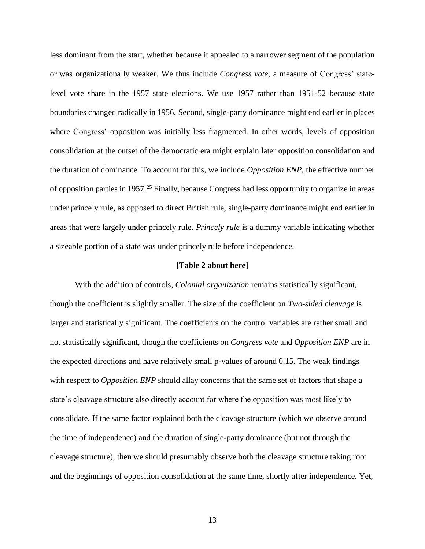less dominant from the start, whether because it appealed to a narrower segment of the population or was organizationally weaker. We thus include *Congress vote*, a measure of Congress' statelevel vote share in the 1957 state elections. We use 1957 rather than 1951-52 because state boundaries changed radically in 1956. Second, single-party dominance might end earlier in places where Congress' opposition was initially less fragmented. In other words, levels of opposition consolidation at the outset of the democratic era might explain later opposition consolidation and the duration of dominance. To account for this, we include *Opposition ENP,* the effective number of opposition parties in 1957.<sup>25</sup> Finally, because Congress had less opportunity to organize in areas under princely rule, as opposed to direct British rule, single-party dominance might end earlier in areas that were largely under princely rule. *Princely rule* is a dummy variable indicating whether a sizeable portion of a state was under princely rule before independence.

#### **[Table 2 about here]**

With the addition of controls, *Colonial organization* remains statistically significant, though the coefficient is slightly smaller. The size of the coefficient on *Two-sided cleavage* is larger and statistically significant. The coefficients on the control variables are rather small and not statistically significant, though the coefficients on *Congress vote* and *Opposition ENP* are in the expected directions and have relatively small p-values of around 0.15. The weak findings with respect to *Opposition ENP* should allay concerns that the same set of factors that shape a state's cleavage structure also directly account for where the opposition was most likely to consolidate. If the same factor explained both the cleavage structure (which we observe around the time of independence) and the duration of single-party dominance (but not through the cleavage structure), then we should presumably observe both the cleavage structure taking root and the beginnings of opposition consolidation at the same time, shortly after independence. Yet,

13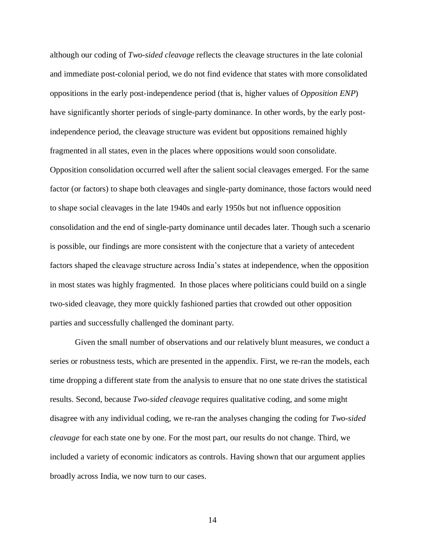although our coding of *Two-sided cleavage* reflects the cleavage structures in the late colonial and immediate post-colonial period, we do not find evidence that states with more consolidated oppositions in the early post-independence period (that is, higher values of *Opposition ENP*) have significantly shorter periods of single-party dominance. In other words, by the early postindependence period, the cleavage structure was evident but oppositions remained highly fragmented in all states, even in the places where oppositions would soon consolidate. Opposition consolidation occurred well after the salient social cleavages emerged. For the same factor (or factors) to shape both cleavages and single-party dominance, those factors would need to shape social cleavages in the late 1940s and early 1950s but not influence opposition consolidation and the end of single-party dominance until decades later. Though such a scenario is possible, our findings are more consistent with the conjecture that a variety of antecedent factors shaped the cleavage structure across India's states at independence, when the opposition in most states was highly fragmented. In those places where politicians could build on a single two-sided cleavage, they more quickly fashioned parties that crowded out other opposition parties and successfully challenged the dominant party.

Given the small number of observations and our relatively blunt measures, we conduct a series or robustness tests, which are presented in the appendix. First, we re-ran the models, each time dropping a different state from the analysis to ensure that no one state drives the statistical results. Second, because *Two-sided cleavage* requires qualitative coding, and some might disagree with any individual coding, we re-ran the analyses changing the coding for *Two-sided cleavage* for each state one by one. For the most part, our results do not change. Third, we included a variety of economic indicators as controls. Having shown that our argument applies broadly across India, we now turn to our cases.

14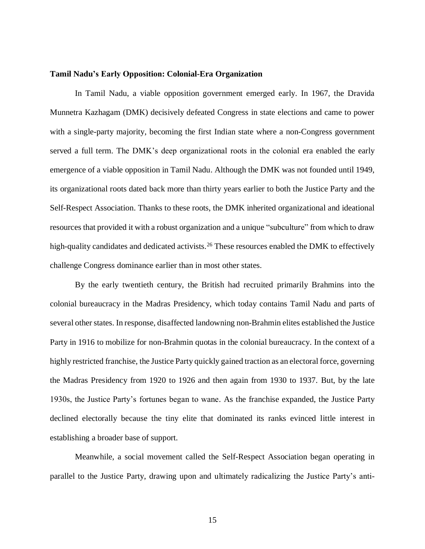#### **Tamil Nadu's Early Opposition: Colonial-Era Organization**

In Tamil Nadu, a viable opposition government emerged early. In 1967, the Dravida Munnetra Kazhagam (DMK) decisively defeated Congress in state elections and came to power with a single-party majority, becoming the first Indian state where a non-Congress government served a full term. The DMK's deep organizational roots in the colonial era enabled the early emergence of a viable opposition in Tamil Nadu. Although the DMK was not founded until 1949, its organizational roots dated back more than thirty years earlier to both the Justice Party and the Self-Respect Association. Thanks to these roots, the DMK inherited organizational and ideational resources that provided it with a robust organization and a unique "subculture" from which to draw high-quality candidates and dedicated activists.<sup>26</sup> These resources enabled the DMK to effectively challenge Congress dominance earlier than in most other states.

By the early twentieth century, the British had recruited primarily Brahmins into the colonial bureaucracy in the Madras Presidency, which today contains Tamil Nadu and parts of several other states. In response, disaffected landowning non-Brahmin elites established the Justice Party in 1916 to mobilize for non-Brahmin quotas in the colonial bureaucracy. In the context of a highly restricted franchise, the Justice Party quickly gained traction as an electoral force, governing the Madras Presidency from 1920 to 1926 and then again from 1930 to 1937. But, by the late 1930s, the Justice Party's fortunes began to wane. As the franchise expanded, the Justice Party declined electorally because the tiny elite that dominated its ranks evinced little interest in establishing a broader base of support.

Meanwhile, a social movement called the Self-Respect Association began operating in parallel to the Justice Party, drawing upon and ultimately radicalizing the Justice Party's anti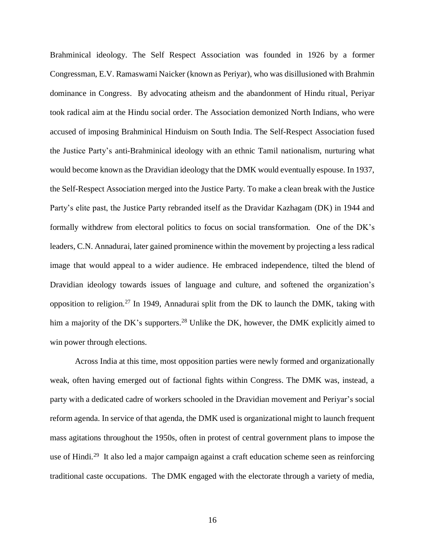Brahminical ideology. The Self Respect Association was founded in 1926 by a former Congressman, E.V. Ramaswami Naicker (known as Periyar), who was disillusioned with Brahmin dominance in Congress. By advocating atheism and the abandonment of Hindu ritual, Periyar took radical aim at the Hindu social order. The Association demonized North Indians, who were accused of imposing Brahminical Hinduism on South India. The Self-Respect Association fused the Justice Party's anti-Brahminical ideology with an ethnic Tamil nationalism, nurturing what would become known as the Dravidian ideology that the DMK would eventually espouse. In 1937, the Self-Respect Association merged into the Justice Party. To make a clean break with the Justice Party's elite past, the Justice Party rebranded itself as the Dravidar Kazhagam (DK) in 1944 and formally withdrew from electoral politics to focus on social transformation. One of the DK's leaders, C.N. Annadurai, later gained prominence within the movement by projecting a less radical image that would appeal to a wider audience. He embraced independence, tilted the blend of Dravidian ideology towards issues of language and culture, and softened the organization's opposition to religion.<sup>27</sup> In 1949, Annadurai split from the DK to launch the DMK, taking with him a majority of the DK's supporters.<sup>28</sup> Unlike the DK, however, the DMK explicitly aimed to win power through elections.

Across India at this time, most opposition parties were newly formed and organizationally weak, often having emerged out of factional fights within Congress. The DMK was, instead, a party with a dedicated cadre of workers schooled in the Dravidian movement and Periyar's social reform agenda. In service of that agenda, the DMK used is organizational might to launch frequent mass agitations throughout the 1950s, often in protest of central government plans to impose the use of Hindi.<sup>29</sup> It also led a major campaign against a craft education scheme seen as reinforcing traditional caste occupations. The DMK engaged with the electorate through a variety of media,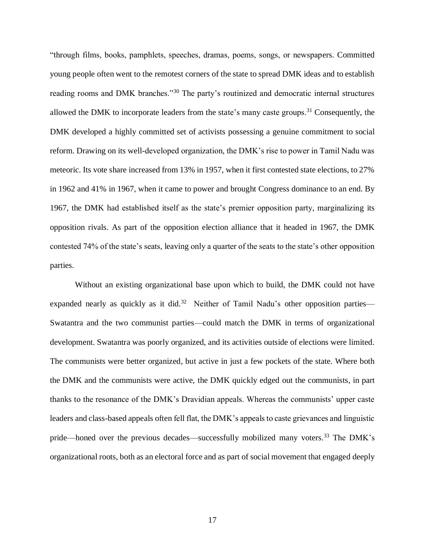"through films, books, pamphlets, speeches, dramas, poems, songs, or newspapers. Committed young people often went to the remotest corners of the state to spread DMK ideas and to establish reading rooms and DMK branches."<sup>30</sup> The party's routinized and democratic internal structures allowed the DMK to incorporate leaders from the state's many caste groups.<sup>31</sup> Consequently, the DMK developed a highly committed set of activists possessing a genuine commitment to social reform. Drawing on its well-developed organization, the DMK's rise to power in Tamil Nadu was meteoric. Its vote share increased from 13% in 1957, when it first contested state elections, to 27% in 1962 and 41% in 1967, when it came to power and brought Congress dominance to an end. By 1967, the DMK had established itself as the state's premier opposition party, marginalizing its opposition rivals. As part of the opposition election alliance that it headed in 1967, the DMK contested 74% of the state's seats, leaving only a quarter of the seats to the state's other opposition parties.

Without an existing organizational base upon which to build, the DMK could not have expanded nearly as quickly as it did.<sup>32</sup> Neither of Tamil Nadu's other opposition parties— Swatantra and the two communist parties—could match the DMK in terms of organizational development. Swatantra was poorly organized, and its activities outside of elections were limited. The communists were better organized, but active in just a few pockets of the state. Where both the DMK and the communists were active, the DMK quickly edged out the communists, in part thanks to the resonance of the DMK's Dravidian appeals. Whereas the communists' upper caste leaders and class-based appeals often fell flat, the DMK's appeals to caste grievances and linguistic pride—honed over the previous decades—successfully mobilized many voters.<sup>33</sup> The DMK's organizational roots, both as an electoral force and as part of social movement that engaged deeply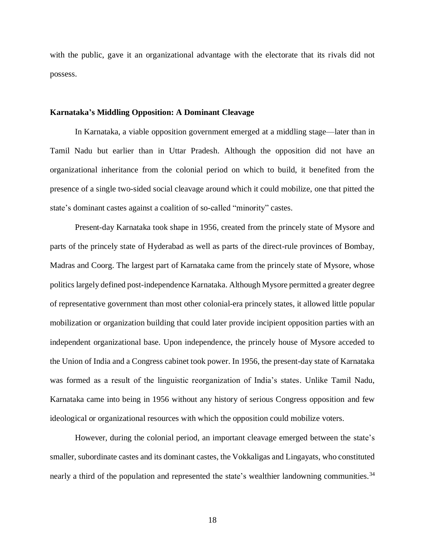with the public, gave it an organizational advantage with the electorate that its rivals did not possess.

#### **Karnataka's Middling Opposition: A Dominant Cleavage**

In Karnataka, a viable opposition government emerged at a middling stage—later than in Tamil Nadu but earlier than in Uttar Pradesh. Although the opposition did not have an organizational inheritance from the colonial period on which to build, it benefited from the presence of a single two-sided social cleavage around which it could mobilize, one that pitted the state's dominant castes against a coalition of so-called "minority" castes.

Present-day Karnataka took shape in 1956, created from the princely state of Mysore and parts of the princely state of Hyderabad as well as parts of the direct-rule provinces of Bombay, Madras and Coorg. The largest part of Karnataka came from the princely state of Mysore, whose politics largely defined post-independence Karnataka. Although Mysore permitted a greater degree of representative government than most other colonial-era princely states, it allowed little popular mobilization or organization building that could later provide incipient opposition parties with an independent organizational base. Upon independence, the princely house of Mysore acceded to the Union of India and a Congress cabinet took power. In 1956, the present-day state of Karnataka was formed as a result of the linguistic reorganization of India's states. Unlike Tamil Nadu, Karnataka came into being in 1956 without any history of serious Congress opposition and few ideological or organizational resources with which the opposition could mobilize voters.

However, during the colonial period, an important cleavage emerged between the state's smaller, subordinate castes and its dominant castes, the Vokkaligas and Lingayats, who constituted nearly a third of the population and represented the state's wealthier landowning communities.<sup>34</sup>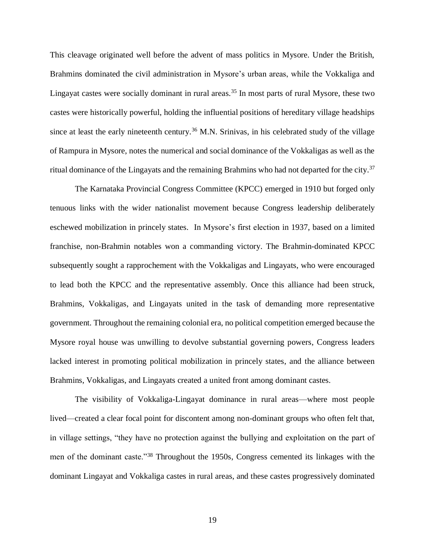This cleavage originated well before the advent of mass politics in Mysore. Under the British, Brahmins dominated the civil administration in Mysore's urban areas, while the Vokkaliga and Lingayat castes were socially dominant in rural areas.<sup>35</sup> In most parts of rural Mysore, these two castes were historically powerful, holding the influential positions of hereditary village headships since at least the early nineteenth century.<sup>36</sup> M.N. Srinivas, in his celebrated study of the village of Rampura in Mysore, notes the numerical and social dominance of the Vokkaligas as well as the ritual dominance of the Lingayats and the remaining Brahmins who had not departed for the city.<sup>37</sup>

The Karnataka Provincial Congress Committee (KPCC) emerged in 1910 but forged only tenuous links with the wider nationalist movement because Congress leadership deliberately eschewed mobilization in princely states. In Mysore's first election in 1937, based on a limited franchise, non-Brahmin notables won a commanding victory. The Brahmin-dominated KPCC subsequently sought a rapprochement with the Vokkaligas and Lingayats, who were encouraged to lead both the KPCC and the representative assembly. Once this alliance had been struck, Brahmins, Vokkaligas, and Lingayats united in the task of demanding more representative government. Throughout the remaining colonial era, no political competition emerged because the Mysore royal house was unwilling to devolve substantial governing powers, Congress leaders lacked interest in promoting political mobilization in princely states, and the alliance between Brahmins, Vokkaligas, and Lingayats created a united front among dominant castes.

The visibility of Vokkaliga-Lingayat dominance in rural areas—where most people lived—created a clear focal point for discontent among non-dominant groups who often felt that, in village settings, "they have no protection against the bullying and exploitation on the part of men of the dominant caste."<sup>38</sup> Throughout the 1950s, Congress cemented its linkages with the dominant Lingayat and Vokkaliga castes in rural areas, and these castes progressively dominated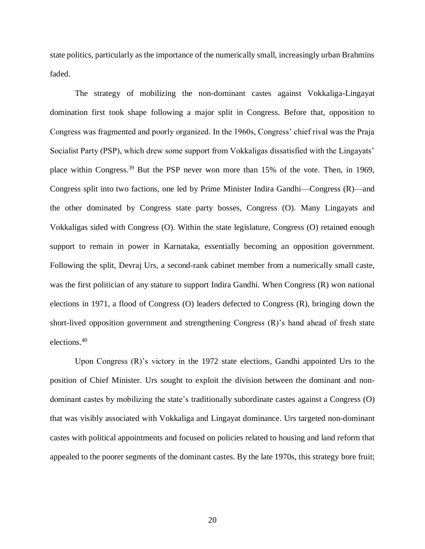state politics, particularly as the importance of the numerically small, increasingly urban Brahmins faded.

The strategy of mobilizing the non-dominant castes against Vokkaliga-Lingayat domination first took shape following a major split in Congress. Before that, opposition to Congress was fragmented and poorly organized. In the 1960s, Congress' chief rival was the Praja Socialist Party (PSP), which drew some support from Vokkaligas dissatisfied with the Lingayats' place within Congress.<sup>39</sup> But the PSP never won more than 15% of the vote. Then, in 1969, Congress split into two factions, one led by Prime Minister Indira Gandhi—Congress (R)—and the other dominated by Congress state party bosses, Congress (O). Many Lingayats and Vokkaligas sided with Congress (O). Within the state legislature, Congress (O) retained enough support to remain in power in Karnataka, essentially becoming an opposition government. Following the split, Devraj Urs, a second-rank cabinet member from a numerically small caste, was the first politician of any stature to support Indira Gandhi. When Congress (R) won national elections in 1971, a flood of Congress (O) leaders defected to Congress (R), bringing down the short-lived opposition government and strengthening Congress (R)'s hand ahead of fresh state elections.<sup>40</sup>

Upon Congress (R)'s victory in the 1972 state elections, Gandhi appointed Urs to the position of Chief Minister. Urs sought to exploit the division between the dominant and nondominant castes by mobilizing the state's traditionally subordinate castes against a Congress (O) that was visibly associated with Vokkaliga and Lingayat dominance. Urs targeted non-dominant castes with political appointments and focused on policies related to housing and land reform that appealed to the poorer segments of the dominant castes. By the late 1970s, this strategy bore fruit;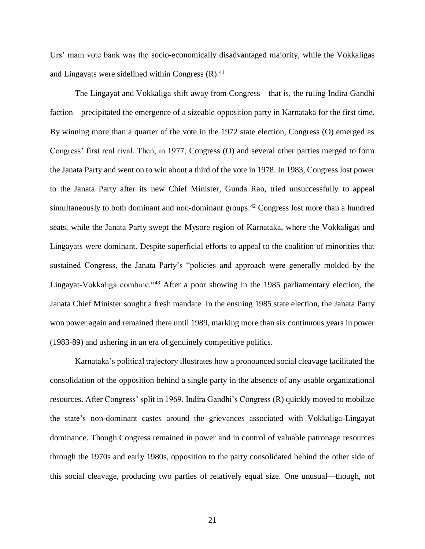Urs' main vote bank was the socio-economically disadvantaged majority, while the Vokkaligas and Lingayats were sidelined within Congress (R). 41

The Lingayat and Vokkaliga shift away from Congress—that is, the ruling Indira Gandhi faction—precipitated the emergence of a sizeable opposition party in Karnataka for the first time. By winning more than a quarter of the vote in the 1972 state election, Congress (O) emerged as Congress' first real rival. Then, in 1977, Congress (O) and several other parties merged to form the Janata Party and went on to win about a third of the vote in 1978. In 1983, Congress lost power to the Janata Party after its new Chief Minister, Gunda Rao, tried unsuccessfully to appeal simultaneously to both dominant and non-dominant groups.<sup>42</sup> Congress lost more than a hundred seats, while the Janata Party swept the Mysore region of Karnataka, where the Vokkaligas and Lingayats were dominant. Despite superficial efforts to appeal to the coalition of minorities that sustained Congress, the Janata Party's "policies and approach were generally molded by the Lingayat-Vokkaliga combine."<sup>43</sup> After a poor showing in the 1985 parliamentary election, the Janata Chief Minister sought a fresh mandate. In the ensuing 1985 state election, the Janata Party won power again and remained there until 1989, marking more than six continuous years in power (1983-89) and ushering in an era of genuinely competitive politics.

Karnataka's political trajectory illustrates how a pronounced social cleavage facilitated the consolidation of the opposition behind a single party in the absence of any usable organizational resources. After Congress' split in 1969, Indira Gandhi's Congress (R) quickly moved to mobilize the state's non-dominant castes around the grievances associated with Vokkaliga-Lingayat dominance. Though Congress remained in power and in control of valuable patronage resources through the 1970s and early 1980s, opposition to the party consolidated behind the other side of this social cleavage, producing two parties of relatively equal size. One unusual—though, not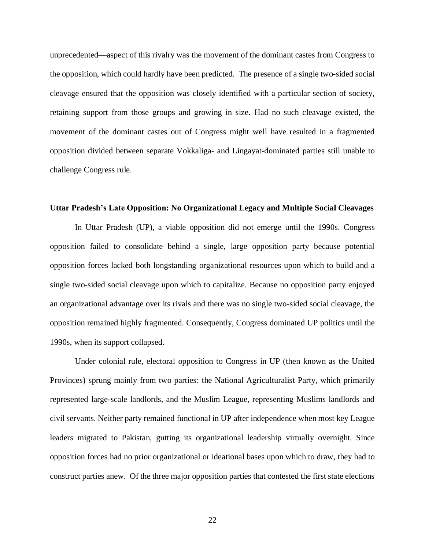unprecedented—aspect of this rivalry was the movement of the dominant castes from Congress to the opposition, which could hardly have been predicted. The presence of a single two-sided social cleavage ensured that the opposition was closely identified with a particular section of society, retaining support from those groups and growing in size. Had no such cleavage existed, the movement of the dominant castes out of Congress might well have resulted in a fragmented opposition divided between separate Vokkaliga- and Lingayat-dominated parties still unable to challenge Congress rule.

### **Uttar Pradesh's Late Opposition: No Organizational Legacy and Multiple Social Cleavages**

In Uttar Pradesh (UP), a viable opposition did not emerge until the 1990s. Congress opposition failed to consolidate behind a single, large opposition party because potential opposition forces lacked both longstanding organizational resources upon which to build and a single two-sided social cleavage upon which to capitalize. Because no opposition party enjoyed an organizational advantage over its rivals and there was no single two-sided social cleavage, the opposition remained highly fragmented. Consequently, Congress dominated UP politics until the 1990s, when its support collapsed.

Under colonial rule, electoral opposition to Congress in UP (then known as the United Provinces) sprung mainly from two parties: the National Agriculturalist Party, which primarily represented large-scale landlords, and the Muslim League, representing Muslims landlords and civil servants. Neither party remained functional in UP after independence when most key League leaders migrated to Pakistan, gutting its organizational leadership virtually overnight. Since opposition forces had no prior organizational or ideational bases upon which to draw, they had to construct parties anew. Of the three major opposition parties that contested the first state elections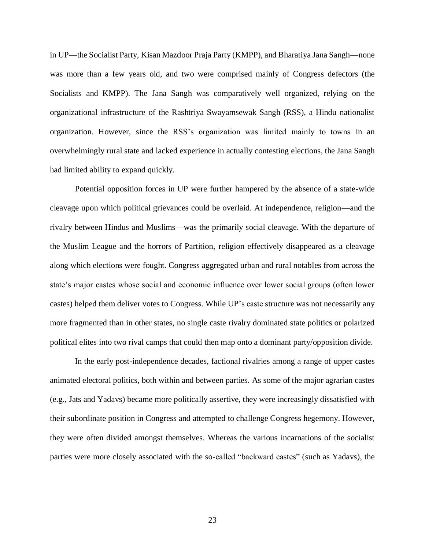in UP—the Socialist Party, Kisan Mazdoor Praja Party (KMPP), and Bharatiya Jana Sangh—none was more than a few years old, and two were comprised mainly of Congress defectors (the Socialists and KMPP). The Jana Sangh was comparatively well organized, relying on the organizational infrastructure of the Rashtriya Swayamsewak Sangh (RSS), a Hindu nationalist organization. However, since the RSS's organization was limited mainly to towns in an overwhelmingly rural state and lacked experience in actually contesting elections, the Jana Sangh had limited ability to expand quickly.

Potential opposition forces in UP were further hampered by the absence of a state-wide cleavage upon which political grievances could be overlaid. At independence, religion—and the rivalry between Hindus and Muslims—was the primarily social cleavage. With the departure of the Muslim League and the horrors of Partition, religion effectively disappeared as a cleavage along which elections were fought. Congress aggregated urban and rural notables from across the state's major castes whose social and economic influence over lower social groups (often lower castes) helped them deliver votes to Congress. While UP's caste structure was not necessarily any more fragmented than in other states, no single caste rivalry dominated state politics or polarized political elites into two rival camps that could then map onto a dominant party/opposition divide.

In the early post-independence decades, factional rivalries among a range of upper castes animated electoral politics, both within and between parties. As some of the major agrarian castes (e.g., Jats and Yadavs) became more politically assertive, they were increasingly dissatisfied with their subordinate position in Congress and attempted to challenge Congress hegemony. However, they were often divided amongst themselves. Whereas the various incarnations of the socialist parties were more closely associated with the so-called "backward castes" (such as Yadavs), the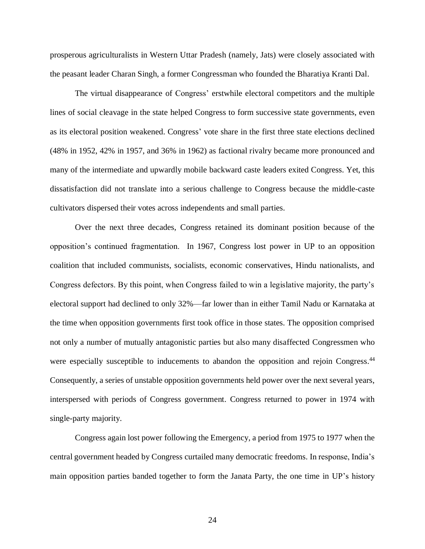prosperous agriculturalists in Western Uttar Pradesh (namely, Jats) were closely associated with the peasant leader Charan Singh, a former Congressman who founded the Bharatiya Kranti Dal.

The virtual disappearance of Congress' erstwhile electoral competitors and the multiple lines of social cleavage in the state helped Congress to form successive state governments, even as its electoral position weakened. Congress' vote share in the first three state elections declined (48% in 1952, 42% in 1957, and 36% in 1962) as factional rivalry became more pronounced and many of the intermediate and upwardly mobile backward caste leaders exited Congress. Yet, this dissatisfaction did not translate into a serious challenge to Congress because the middle-caste cultivators dispersed their votes across independents and small parties.

Over the next three decades, Congress retained its dominant position because of the opposition's continued fragmentation. In 1967, Congress lost power in UP to an opposition coalition that included communists, socialists, economic conservatives, Hindu nationalists, and Congress defectors. By this point, when Congress failed to win a legislative majority, the party's electoral support had declined to only 32%—far lower than in either Tamil Nadu or Karnataka at the time when opposition governments first took office in those states. The opposition comprised not only a number of mutually antagonistic parties but also many disaffected Congressmen who were especially susceptible to inducements to abandon the opposition and rejoin Congress.<sup>44</sup> Consequently, a series of unstable opposition governments held power over the next several years, interspersed with periods of Congress government. Congress returned to power in 1974 with single-party majority.

Congress again lost power following the Emergency, a period from 1975 to 1977 when the central government headed by Congress curtailed many democratic freedoms. In response, India's main opposition parties banded together to form the Janata Party, the one time in UP's history

24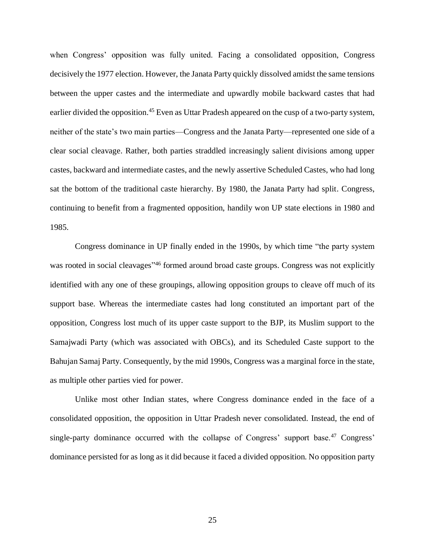when Congress' opposition was fully united. Facing a consolidated opposition, Congress decisively the 1977 election. However, the Janata Party quickly dissolved amidst the same tensions between the upper castes and the intermediate and upwardly mobile backward castes that had earlier divided the opposition.<sup>45</sup> Even as Uttar Pradesh appeared on the cusp of a two-party system, neither of the state's two main parties—Congress and the Janata Party—represented one side of a clear social cleavage. Rather, both parties straddled increasingly salient divisions among upper castes, backward and intermediate castes, and the newly assertive Scheduled Castes, who had long sat the bottom of the traditional caste hierarchy. By 1980, the Janata Party had split. Congress, continuing to benefit from a fragmented opposition, handily won UP state elections in 1980 and 1985.

Congress dominance in UP finally ended in the 1990s, by which time "the party system was rooted in social cleavages<sup>"46</sup> formed around broad caste groups. Congress was not explicitly identified with any one of these groupings, allowing opposition groups to cleave off much of its support base. Whereas the intermediate castes had long constituted an important part of the opposition, Congress lost much of its upper caste support to the BJP, its Muslim support to the Samajwadi Party (which was associated with OBCs), and its Scheduled Caste support to the Bahujan Samaj Party. Consequently, by the mid 1990s, Congress was a marginal force in the state, as multiple other parties vied for power.

Unlike most other Indian states, where Congress dominance ended in the face of a consolidated opposition, the opposition in Uttar Pradesh never consolidated. Instead, the end of single-party dominance occurred with the collapse of Congress' support base.<sup>47</sup> Congress' dominance persisted for as long as it did because it faced a divided opposition. No opposition party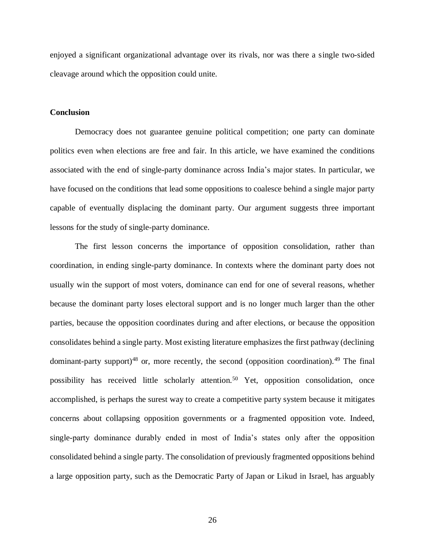enjoyed a significant organizational advantage over its rivals, nor was there a single two-sided cleavage around which the opposition could unite.

### **Conclusion**

Democracy does not guarantee genuine political competition; one party can dominate politics even when elections are free and fair. In this article, we have examined the conditions associated with the end of single-party dominance across India's major states. In particular, we have focused on the conditions that lead some oppositions to coalesce behind a single major party capable of eventually displacing the dominant party. Our argument suggests three important lessons for the study of single-party dominance.

The first lesson concerns the importance of opposition consolidation, rather than coordination, in ending single-party dominance. In contexts where the dominant party does not usually win the support of most voters, dominance can end for one of several reasons, whether because the dominant party loses electoral support and is no longer much larger than the other parties, because the opposition coordinates during and after elections, or because the opposition consolidates behind a single party. Most existing literature emphasizes the first pathway (declining dominant-party support)<sup>48</sup> or, more recently, the second (opposition coordination).<sup>49</sup> The final possibility has received little scholarly attention.<sup>50</sup> Yet, opposition consolidation, once accomplished, is perhaps the surest way to create a competitive party system because it mitigates concerns about collapsing opposition governments or a fragmented opposition vote. Indeed, single-party dominance durably ended in most of India's states only after the opposition consolidated behind a single party. The consolidation of previously fragmented oppositions behind a large opposition party, such as the Democratic Party of Japan or Likud in Israel, has arguably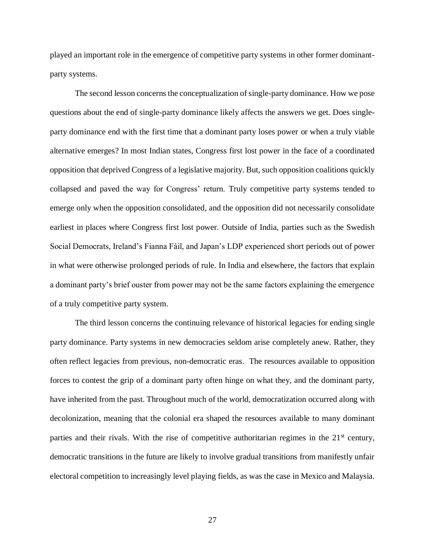played an important role in the emergence of competitive party systems in other former dominantparty systems.

The second lesson concerns the conceptualization of single-party dominance. How we pose questions about the end of single-party dominance likely affects the answers we get. Does singleparty dominance end with the first time that a dominant party loses power or when a truly viable alternative emerges? In most Indian states, Congress first lost power in the face of a coordinated opposition that deprived Congress of a legislative majority. But, such opposition coalitions quickly collapsed and paved the way for Congress' return. Truly competitive party systems tended to emerge only when the opposition consolidated, and the opposition did not necessarily consolidate earliest in places where Congress first lost power. Outside of India, parties such as the Swedish Social Democrats, Ireland's Fianna Fáil, and Japan's LDP experienced short periods out of power in what were otherwise prolonged periods of rule. In India and elsewhere, the factors that explain a dominant party's brief ouster from power may not be the same factors explaining the emergence of a truly competitive party system.

The third lesson concerns the continuing relevance of historical legacies for ending single party dominance. Party systems in new democracies seldom arise completely anew*.* Rather, they often reflect legacies from previous, non-democratic eras. The resources available to opposition forces to contest the grip of a dominant party often hinge on what they, and the dominant party, have inherited from the past. Throughout much of the world, democratization occurred along with decolonization, meaning that the colonial era shaped the resources available to many dominant parties and their rivals. With the rise of competitive authoritarian regimes in the  $21<sup>st</sup>$  century, democratic transitions in the future are likely to involve gradual transitions from manifestly unfair electoral competition to increasingly level playing fields, as was the case in Mexico and Malaysia.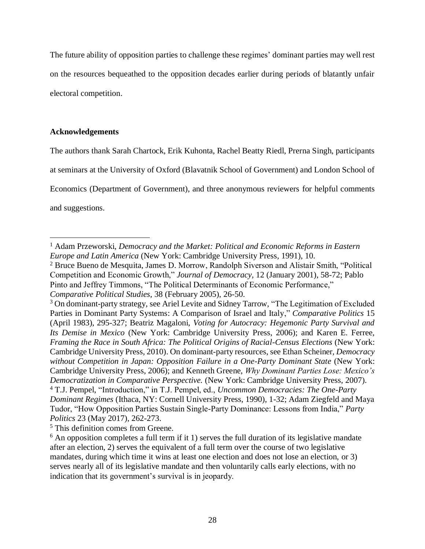The future ability of opposition parties to challenge these regimes' dominant parties may well rest on the resources bequeathed to the opposition decades earlier during periods of blatantly unfair electoral competition.

## **Acknowledgements**

The authors thank Sarah Chartock, Erik Kuhonta, Rachel Beatty Riedl, Prerna Singh, participants

at seminars at the University of Oxford (Blavatnik School of Government) and London School of

Economics (Department of Government), and three anonymous reviewers for helpful comments

and suggestions.

 $\overline{a}$ 

<sup>1</sup> Adam Przeworski, *Democracy and the Market: Political and Economic Reforms in Eastern Europe and Latin America* (New York: Cambridge University Press, 1991), 10.

<sup>2</sup> Bruce Bueno de Mesquita, James D. Morrow, Randolph Siverson and Alistair Smith, "Political Competition and Economic Growth," *Journal of Democracy,* 12 (January 2001), 58-72; Pablo Pinto and Jeffrey Timmons, "The Political Determinants of Economic Performance," *Comparative Political Studies,* 38 (February 2005), 26-50.

<sup>&</sup>lt;sup>3</sup> On dominant-party strategy, see Ariel Levite and Sidney Tarrow, "The Legitimation of Excluded Parties in Dominant Party Systems: A Comparison of Israel and Italy," *Comparative Politics* 15 (April 1983), 295-327; Beatriz Magaloni, *Voting for Autocracy: Hegemonic Party Survival and Its Demise in Mexico* (New York: Cambridge University Press, 2006); and Karen E. Ferree, *Framing the Race in South Africa: The Political Origins of Racial-Census Elections (New York:* Cambridge University Press, 2010). On dominant-party resources, see Ethan Scheiner, *Democracy without Competition in Japan: Opposition Failure in a One-Party Dominant State* (New York: Cambridge University Press, 2006); and Kenneth Greene, *Why Dominant Parties Lose: Mexico's Democratization in Comparative Perspective.* (New York: Cambridge University Press, 2007). <sup>4</sup> T.J. Pempel, "Introduction," in T.J. Pempel, ed., *Uncommon Democracies: The One-Party Dominant Regimes* (Ithaca, NY: Cornell University Press, 1990), 1-32; Adam Ziegfeld and Maya Tudor, "How Opposition Parties Sustain Single-Party Dominance: Lessons from India," *Party Politics* 23 (May 2017), 262-273.

<sup>5</sup> This definition comes from Greene.

 $6$  An opposition completes a full term if it 1) serves the full duration of its legislative mandate after an election, 2) serves the equivalent of a full term over the course of two legislative mandates, during which time it wins at least one election and does not lose an election, or 3) serves nearly all of its legislative mandate and then voluntarily calls early elections, with no indication that its government's survival is in jeopardy.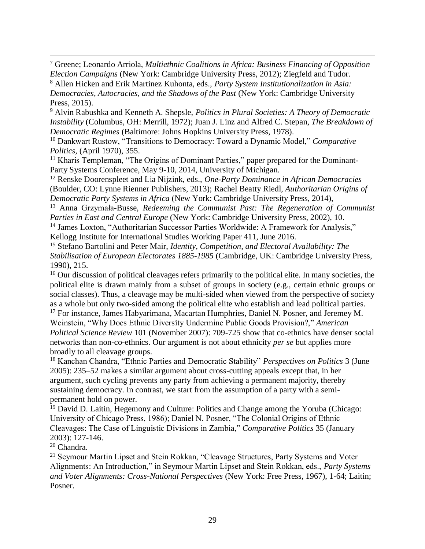<sup>7</sup> Greene; Leonardo Arriola, *Multiethnic Coalitions in Africa: Business Financing of Opposition Election Campaigns* (New York: Cambridge University Press, 2012); Ziegfeld and Tudor.

<sup>8</sup> Allen Hicken and Erik Martinez Kuhonta, eds., *Party System Institutionalization in Asia: Democracies, Autocracies, and the Shadows of the Past* (New York: Cambridge University Press, 2015).

<sup>9</sup> Alvin Rabushka and Kenneth A. Shepsle, *Politics in Plural Societies: A Theory of Democratic Instability* (Columbus, OH: Merrill, 1972); Juan J. Linz and Alfred C. Stepan, *The Breakdown of Democratic Regimes* (Baltimore: Johns Hopkins University Press, 1978).

<sup>10</sup> Dankwart Rustow, "Transitions to Democracy: Toward a Dynamic Model," *Comparative Politics,* (April 1970), 355.

<sup>11</sup> Kharis Templeman, "The Origins of Dominant Parties," paper prepared for the Dominant-Party Systems Conference, May 9-10, 2014, University of Michigan.

<sup>12</sup> Renske Doorenspleet and Lia Nijzink, eds., *One-Party Dominance in African Democracies*  (Boulder, CO: Lynne Rienner Publishers, 2013); Rachel Beatty Riedl, *Authoritarian Origins of Democratic Party Systems in Africa* (New York: Cambridge University Press, 2014),

<sup>13</sup> Anna Grzymała-Busse, *Redeeming the Communist Past: The Regeneration of Communist Parties in East and Central Europe* (New York: Cambridge University Press, 2002), 10.

<sup>14</sup> James Loxton, "Authoritarian Successor Parties Worldwide: A Framework for Analysis," Kellogg Institute for International Studies Working Paper 411, June 2016.

<sup>15</sup> Stefano Bartolini and Peter Mair, *Identity, Competition, and Electoral Availability: The Stabilisation of European Electorates 1885-1985* (Cambridge, UK: Cambridge University Press, 1990), 215.

<sup>16</sup> Our discussion of political cleavages refers primarily to the political elite. In many societies, the political elite is drawn mainly from a subset of groups in society (e.g., certain ethnic groups or social classes). Thus, a cleavage may be multi-sided when viewed from the perspective of society as a whole but only two-sided among the political elite who establish and lead political parties.

<sup>17</sup> For instance, James Habyarimana, Macartan Humphries, Daniel N. Posner, and Jeremey M. Weinstein, "Why Does Ethnic Diversity Undermine Public Goods Provision?," *American Political Science Review* 101 (November 2007): 709-725 show that co-ethnics have denser social networks than non-co-ethnics. Our argument is not about ethnicity *per se* but applies more broadly to all cleavage groups.

<sup>18</sup> Kanchan Chandra, "Ethnic Parties and Democratic Stability" *Perspectives on Politics* 3 (June 2005): 235–52 makes a similar argument about cross-cutting appeals except that, in her argument, such cycling prevents any party from achieving a permanent majority, thereby sustaining democracy. In contrast, we start from the assumption of a party with a semipermanent hold on power.

<sup>19</sup> David D. Laitin, Hegemony and Culture: Politics and Change among the Yoruba (Chicago: University of Chicago Press, 1986); Daniel N. Posner, "The Colonial Origins of Ethnic Cleavages: The Case of Linguistic Divisions in Zambia," *Comparative Politics* 35 (January 2003): 127-146.

<sup>20</sup> Chandra.

 $\overline{a}$ 

<sup>21</sup> Seymour Martin Lipset and Stein Rokkan, "Cleavage Structures, Party Systems and Voter Alignments: An Introduction," in Seymour Martin Lipset and Stein Rokkan, eds., *Party Systems and Voter Alignments: Cross-National Perspectives* (New York: Free Press, 1967), 1-64; Laitin; Posner.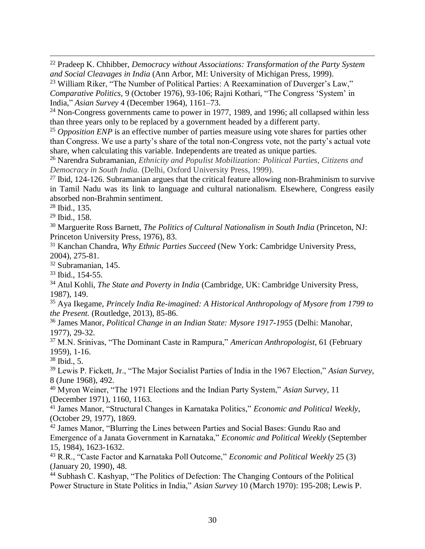<sup>22</sup> Pradeep K. Chhibber, *Democracy without Associations: Transformation of the Party System and Social Cleavages in India* (Ann Arbor, MI: University of Michigan Press, 1999).

<sup>23</sup> William Riker, "The Number of Political Parties: A Reexamination of Duverger's Law," *Comparative Politics,* 9 (October 1976), 93-106; Rajni Kothari, "The Congress 'System' in India," *Asian Survey* 4 (December 1964), 1161–73.

 $24$  Non-Congress governments came to power in 1977, 1989, and 1996; all collapsed within less than three years only to be replaced by a government headed by a different party.

<sup>25</sup> *Opposition ENP* is an effective number of parties measure using vote shares for parties other than Congress. We use a party's share of the total non-Congress vote, not the party's actual vote share, when calculating this variable. Independents are treated as unique parties.

<sup>26</sup> Narendra Subramanian, *Ethnicity and Populist Mobilization: Political Parties, Citizens and Democracy in South India.* (Delhi, Oxford University Press, 1999).

 $27$  Ibid, 124-126. Subramanian argues that the critical feature allowing non-Brahminism to survive in Tamil Nadu was its link to language and cultural nationalism. Elsewhere, Congress easily absorbed non-Brahmin sentiment.

<sup>28</sup> Ibid., 135.

 $\overline{a}$ 

<sup>29</sup> Ibid., 158.

<sup>30</sup> Marguerite Ross Barnett, *The Politics of Cultural Nationalism in South India* (Princeton, NJ: Princeton University Press, 1976), 83.

<sup>31</sup> Kanchan Chandra, *Why Ethnic Parties Succeed* (New York: Cambridge University Press, 2004), 275-81.

<sup>32</sup> Subramanian, 145.

<sup>33</sup> Ibid., 154-55.

<sup>34</sup> Atul Kohli, *The State and Poverty in India* (Cambridge, UK: Cambridge University Press, 1987), 149.

<sup>35</sup> Aya Ikegame, *Princely India Re-imagined: A Historical Anthropology of Mysore from 1799 to the Present.* (Routledge, 2013), 85-86.

<sup>36</sup> James Manor, *Political Change in an Indian State: Mysore 1917-1955* (Delhi: Manohar, 1977), 29-32.

<sup>37</sup> M.N. Srinivas, "The Dominant Caste in Rampura," *American Anthropologist,* 61 (February 1959), 1-16.

 $38$  Ibid., 5.

<sup>39</sup> Lewis P. Fickett, Jr., "The Major Socialist Parties of India in the 1967 Election," *Asian Survey,*  8 (June 1968), 492.

<sup>40</sup> Myron Weiner, "The 1971 Elections and the Indian Party System," *Asian Survey,* 11 (December 1971), 1160, 1163.

<sup>41</sup> James Manor, "Structural Changes in Karnataka Politics," *Economic and Political Weekly,* (October 29, 1977), 1869.

<sup>42</sup> James Manor, "Blurring the Lines between Parties and Social Bases: Gundu Rao and Emergence of a Janata Government in Karnataka," *Economic and Political Weekly* (September 15, 1984), 1623-1632.

<sup>43</sup> R.R., "Caste Factor and Karnataka Poll Outcome," *Economic and Political Weekly* 25 (3) (January 20, 1990), 48.

<sup>44</sup> Subhash C. Kashyap, "The Politics of Defection: The Changing Contours of the Political Power Structure in State Politics in India," *Asian Survey* 10 (March 1970): 195-208; Lewis P.